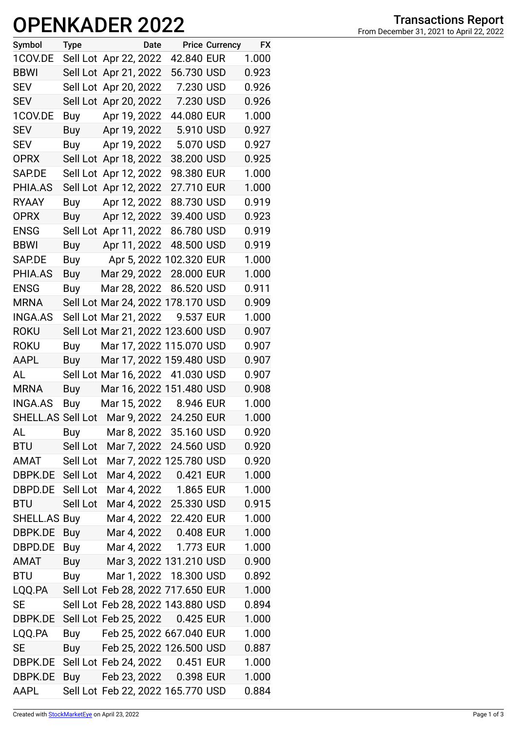## **OPENKADER 2022**

| Symbol           | <b>Type</b> | Date                                     |            | <b>Price Currency</b> | <b>FX</b> |
|------------------|-------------|------------------------------------------|------------|-----------------------|-----------|
| 1COV.DE          |             | Sell Lot Apr 22, 2022                    | 42.840 EUR |                       | 1.000     |
| <b>BBWI</b>      |             | Sell Lot Apr 21, 2022                    | 56.730 USD |                       | 0.923     |
| <b>SEV</b>       |             | Sell Lot Apr 20, 2022                    | 7.230 USD  |                       | 0.926     |
| <b>SEV</b>       |             | Sell Lot Apr 20, 2022                    | 7.230 USD  |                       | 0.926     |
| 1COV.DE          | Buy         | Apr 19, 2022                             | 44.080 EUR |                       | 1.000     |
| <b>SEV</b>       | Buy         | Apr 19, 2022                             | 5.910 USD  |                       | 0.927     |
| <b>SEV</b>       | Buy         | Apr 19, 2022                             | 5.070 USD  |                       | 0.927     |
| <b>OPRX</b>      |             | Sell Lot Apr 18, 2022                    | 38.200 USD |                       | 0.925     |
| SAP.DE           |             | Sell Lot Apr 12, 2022                    | 98.380 EUR |                       | 1.000     |
| PHIA.AS          |             | Sell Lot Apr 12, 2022                    | 27.710 EUR |                       | 1.000     |
| <b>RYAAY</b>     | Buy         | Apr 12, 2022                             | 88.730 USD |                       | 0.919     |
| <b>OPRX</b>      | Buy         | Apr 12, 2022                             | 39.400 USD |                       | 0.923     |
| <b>ENSG</b>      |             | Sell Lot Apr 11, 2022                    | 86.780 USD |                       | 0.919     |
| <b>BBWI</b>      | Buy         | Apr 11, 2022                             | 48.500 USD |                       | 0.919     |
| SAP.DE           |             | Buy Apr 5, 2022 102.320 EUR              |            |                       | 1.000     |
| PHIA.AS          |             | Buy Mar 29, 2022                         | 28.000 EUR |                       | 1.000     |
| <b>ENSG</b>      | Buy         | Mar 28, 2022                             | 86.520 USD |                       | 0.911     |
| <b>MRNA</b>      |             | Sell Lot Mar 24, 2022 178.170 USD        |            |                       | 0.909     |
| <b>INGA.AS</b>   |             | Sell Lot Mar 21, 2022                    | 9.537 EUR  |                       | 1.000     |
| <b>ROKU</b>      |             | Sell Lot Mar 21, 2022 123.600 USD        |            |                       | 0.907     |
| <b>ROKU</b>      | Buy         | Mar 17, 2022 115.070 USD                 |            |                       | 0.907     |
| AAPL             | Buy         | Mar 17, 2022 159.480 USD                 |            |                       | 0.907     |
| AL               |             | Sell Lot Mar 16, 2022 41.030 USD         |            |                       | 0.907     |
| <b>MRNA</b>      | Buy         | Mar 16, 2022 151.480 USD                 |            |                       | 0.908     |
| <b>INGA.AS</b>   |             | Buy Mar 15, 2022 8.946 EUR               |            |                       | 1.000     |
|                  |             | SHELL.AS Sell Lot Mar 9, 2022 24.250 EUR |            |                       | 1.000     |
| AL               | Buy         | Mar 8, 2022 35.160 USD                   |            |                       | 0.920     |
| <b>BTU</b>       | Sell Lot    | Mar 7, 2022 24.560 USD                   |            |                       | 0.920     |
| AMAT             | Sell Lot    | Mar 7, 2022 125.780 USD                  |            |                       | 0.920     |
| DBPK.DE Sell Lot |             | Mar 4, 2022 0.421 EUR                    |            |                       | 1.000     |
| DBPD.DE          | Sell Lot    | Mar 4, 2022 1.865 EUR                    |            |                       | 1.000     |
| <b>BTU</b>       | Sell Lot    | Mar 4, 2022 25.330 USD                   |            |                       | 0.915     |
| SHELL.AS Buy     |             | Mar 4, 2022 22.420 EUR                   |            |                       | 1.000     |
| DBPK.DE          | Buy         | Mar 4, 2022 0.408 EUR                    |            |                       | 1.000     |
| DBPD.DE          | Buy         | Mar 4, 2022 1.773 EUR                    |            |                       | 1.000     |
| AMAT             | Buy         | Mar 3, 2022 131.210 USD                  |            |                       | 0.900     |
| <b>BTU</b>       | Buy         | Mar 1, 2022 18.300 USD                   |            |                       | 0.892     |
| LQQ.PA           |             | Sell Lot Feb 28, 2022 717.650 EUR        |            |                       | 1.000     |
| <b>SE</b>        |             | Sell Lot Feb 28, 2022 143.880 USD        |            |                       | 0.894     |
| DBPK.DE          |             | Sell Lot Feb 25, 2022 0.425 EUR          |            |                       | 1.000     |
| LQQ.PA           | Buy         | Feb 25, 2022 667.040 EUR                 |            |                       | 1.000     |
| <b>SE</b>        | Buy         | Feb 25, 2022 126.500 USD                 |            |                       | 0.887     |
| DBPK.DE          |             | Sell Lot Feb 24, 2022 0.451 EUR          |            |                       | 1.000     |
| DBPK.DE          | Buy         | Feb 23, 2022 0.398 EUR                   |            |                       | 1.000     |
| <b>AAPL</b>      |             | Sell Lot Feb 22, 2022 165.770 USD        |            |                       | 0.884     |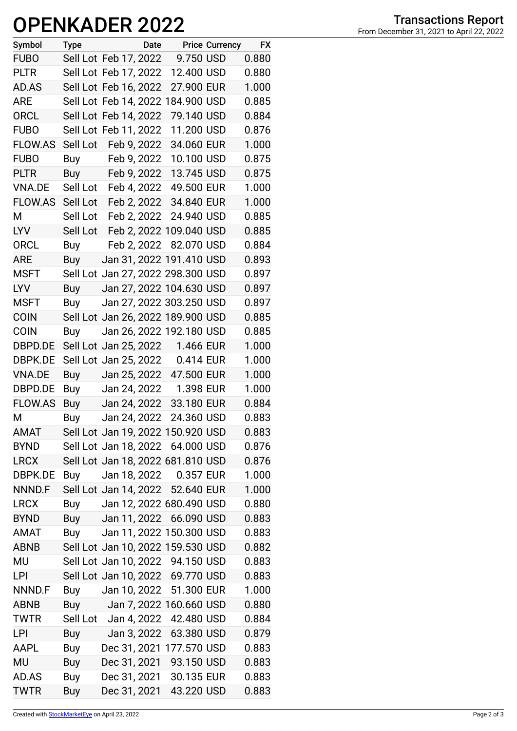## **OPENKADER 2022**

| Symbol         | <b>Type</b> |                       | Date |                                   | <b>Price Currency</b> | <b>FX</b> |
|----------------|-------------|-----------------------|------|-----------------------------------|-----------------------|-----------|
| <b>FUBO</b>    |             | Sell Lot Feb 17, 2022 |      | 9.750 USD                         |                       | 0.880     |
| <b>PLTR</b>    |             | Sell Lot Feb 17, 2022 |      | 12.400 USD                        |                       | 0.880     |
| AD.AS          |             | Sell Lot Feb 16, 2022 |      | 27.900 EUR                        |                       | 1.000     |
| <b>ARE</b>     |             |                       |      | Sell Lot Feb 14, 2022 184.900 USD |                       | 0.885     |
| ORCL           |             | Sell Lot Feb 14, 2022 |      | 79.140 USD                        |                       | 0.884     |
| <b>FUBO</b>    |             | Sell Lot Feb 11, 2022 |      | 11.200 USD                        |                       | 0.876     |
| FLOW.AS        | Sell Lot    | Feb 9, 2022           |      | 34.060 EUR                        |                       | 1.000     |
| <b>FUBO</b>    | Buy         | Feb 9, 2022           |      | 10.100 USD                        |                       | 0.875     |
| <b>PLTR</b>    |             | Buy Feb 9, 2022       |      | 13.745 USD                        |                       | 0.875     |
| VNA.DE         |             | Sell Lot Feb 4, 2022  |      | 49.500 EUR                        |                       | 1.000     |
| FLOW.AS        | Sell Lot    | Feb 2, 2022           |      | 34.840 EUR                        |                       | 1.000     |
| М              | Sell Lot    | Feb 2, 2022           |      | 24.940 USD                        |                       | 0.885     |
| <b>LYV</b>     | Sell Lot    |                       |      | Feb 2, 2022 109.040 USD           |                       | 0.885     |
| <b>ORCL</b>    | Buy         |                       |      | Feb 2, 2022 82.070 USD            |                       | 0.884     |
| ARE            | Buy         |                       |      | Jan 31, 2022 191.410 USD          |                       | 0.893     |
| <b>MSFT</b>    |             |                       |      | Sell Lot Jan 27, 2022 298.300 USD |                       | 0.897     |
| <b>LYV</b>     | Buy         |                       |      | Jan 27, 2022 104.630 USD          |                       | 0.897     |
| <b>MSFT</b>    | Buy         |                       |      | Jan 27, 2022 303.250 USD          |                       | 0.897     |
| <b>COIN</b>    |             |                       |      | Sell Lot Jan 26, 2022 189.900 USD |                       | 0.885     |
| <b>COIN</b>    | Buy         |                       |      | Jan 26, 2022 192.180 USD          |                       | 0.885     |
| DBPD.DE        |             |                       |      | Sell Lot Jan 25, 2022 1.466 EUR   |                       | 1.000     |
| DBPK.DE        |             | Sell Lot Jan 25, 2022 |      | 0.414 EUR                         |                       | 1.000     |
| <b>VNA.DE</b>  | Buy         | Jan 25, 2022          |      | 47.500 EUR                        |                       | 1.000     |
| DBPD.DE        | Buy         | Jan 24, 2022          |      | 1.398 EUR                         |                       | 1.000     |
| <b>FLOW.AS</b> | Buy         | Jan 24, 2022          |      | 33.180 EUR                        |                       | 0.884     |
| М              | <b>Buy</b>  | Jan 24, 2022          |      | 24.360 USD                        |                       | 0.883     |
| <b>AMAT</b>    |             |                       |      | Sell Lot Jan 19, 2022 150.920 USD |                       | 0.883     |
| <b>BYND</b>    |             |                       |      | Sell Lot Jan 18, 2022 64.000 USD  |                       | 0.876     |
| <b>LRCX</b>    |             |                       |      | Sell Lot Jan 18, 2022 681.810 USD |                       | 0.876     |
| DBPK.DE        | Buy         |                       |      | Jan 18, 2022 0.357 EUR            |                       | 1.000     |
| NNND.F         |             |                       |      | Sell Lot Jan 14, 2022 52.640 EUR  |                       | 1.000     |
| <b>LRCX</b>    | Buy         |                       |      | Jan 12, 2022 680.490 USD          |                       | 0.880     |
| <b>BYND</b>    |             |                       |      | Buy Jan 11, 2022 66.090 USD       |                       | 0.883     |
| AMAT           | Buy         |                       |      | Jan 11, 2022 150.300 USD          |                       | 0.883     |
| <b>ABNB</b>    |             |                       |      | Sell Lot Jan 10, 2022 159.530 USD |                       | 0.882     |
| MU             |             |                       |      | Sell Lot Jan 10, 2022 94.150 USD  |                       | 0.883     |
| LPI            |             |                       |      | Sell Lot Jan 10, 2022 69.770 USD  |                       | 0.883     |
| NNND.F         | Buy         |                       |      | Jan 10, 2022 51.300 EUR           |                       | 1.000     |
| <b>ABNB</b>    | Buy         |                       |      | Jan 7, 2022 160.660 USD           |                       | 0.880     |
| <b>TWTR</b>    |             | Sell Lot Jan 4, 2022  |      | 42.480 USD                        |                       | 0.884     |
| LPI            | Buy         | Jan 3, 2022           |      | 63.380 USD                        |                       | 0.879     |
| AAPL           | Buy         |                       |      | Dec 31, 2021 177.570 USD          |                       | 0.883     |
| MU             | Buy         |                       |      | Dec 31, 2021 93.150 USD           |                       | 0.883     |
| AD.AS          | Buy         |                       |      | Dec 31, 2021 30.135 EUR           |                       | 0.883     |
| <b>TWTR</b>    | Buy         | Dec 31, 2021          |      | 43.220 USD                        |                       | 0.883     |